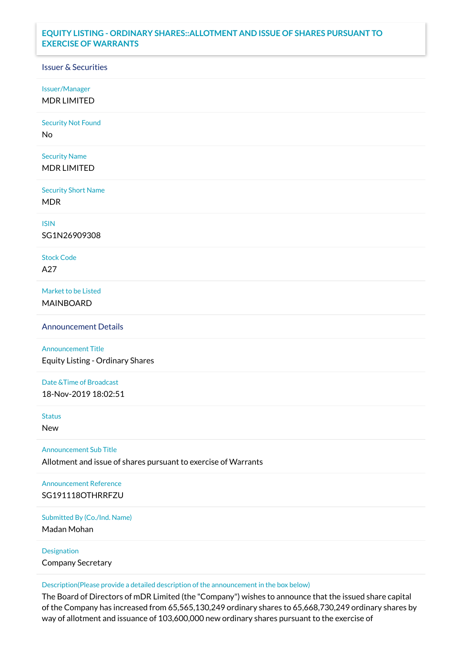## **EQUITY LISTING - ORDINARY SHARES::ALLOTMENT AND ISSUE OF SHARES PURSUANT TO EXERCISE OF WARRANTS**

## Issuer & Securities

Issuer/Manager

MDR LIMITED

Security Not Found

No

Security Name MDR LIMITED

Security Short Name MDR

ISIN

SG1N26909308

Stock Code A27

Market to be Listed MAINBOARD

Announcement Details

Announcement Title Equity Listing - Ordinary Shares

Date &Time of Broadcast 18-Nov-2019 18:02:51

Status

New

Announcement Sub Title

Allotment and issue of shares pursuant to exercise of Warrants

Announcement Reference SG191118OTHRRFZU

Submitted By (Co./Ind. Name)

Madan Mohan

Designation Company Secretary

Description(Please provide a detailed description of the announcement in the box below)

The Board of Directors of mDR Limited (the "Company") wishes to announce that the issued share capital of the Company has increased from 65,565,130,249 ordinary shares to 65,668,730,249 ordinary shares by way of allotment and issuance of 103,600,000 new ordinary shares pursuant to the exercise of